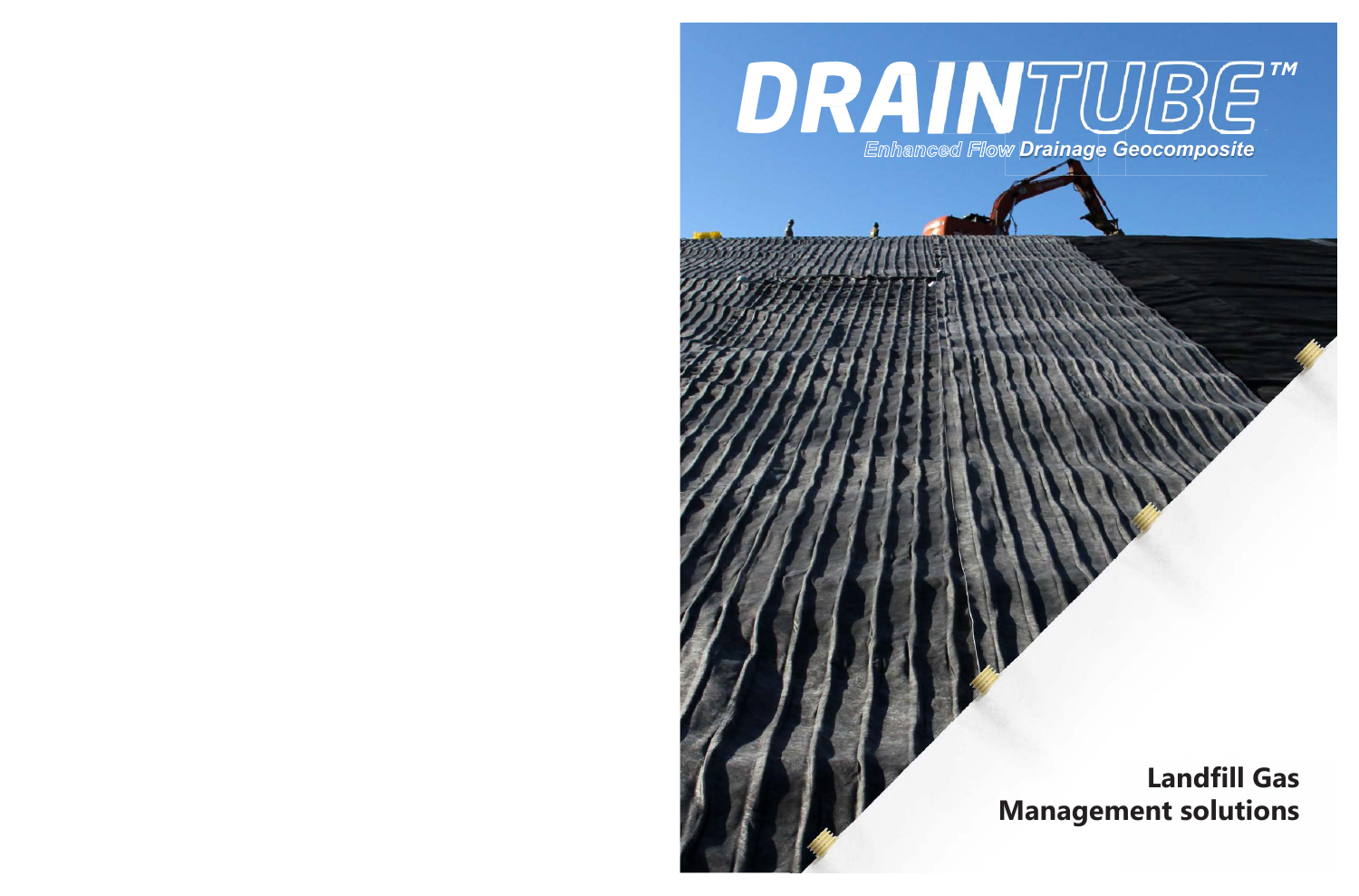# DRAINTUBG" **Emhamced Flow Drainage Geocomposite**

# **Landfill Gas Management solutions**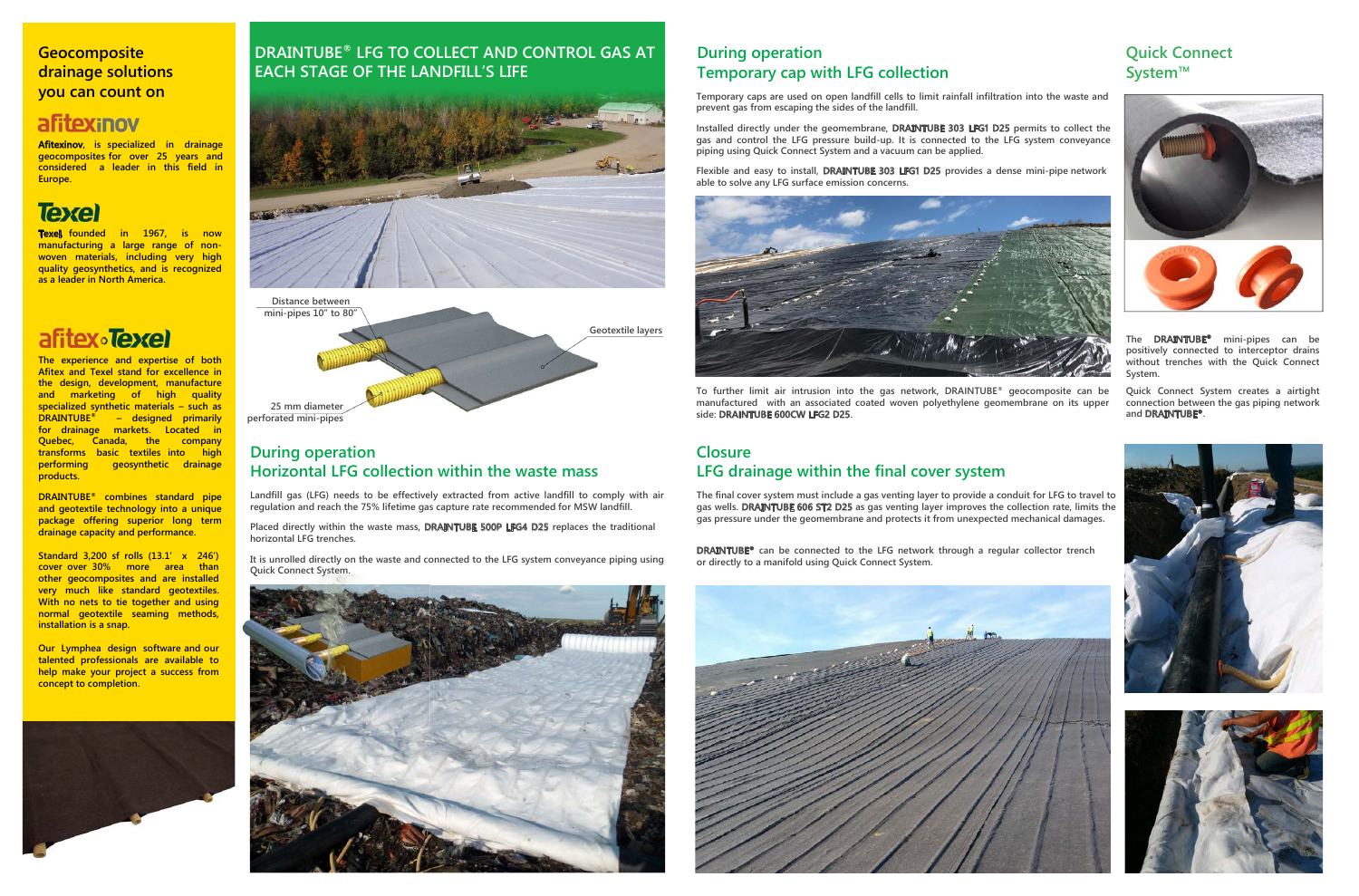#### **Quick Connect System™**



**The DRAINTUBE® mini-pipes can be positively connected to interceptor drains without trenches with the Quick Connect System.**

**Quick Connect System creates a airtight connection between the gas piping network and DRAINTUBE®.**





**Afitexinov**, is specialized in drainage **geocomposites for over 25 years and considered a leader in this field in Europe.**

# **Texel**



**7Exel, founded** in 1967, is now **manufacturing a large range of nonwoven materials, including very high quality geosynthetics, and is recognized as a leader in North America.**

# afitex**·Texel**

#### **Geocomposite drainage solutions you can count on**

## afitexinov

**The experience and expertise of both Afitex and Texel stand for excellence in the design, development, manufacture and marketing of high quality specialized synthetic materials – such as DRAINTUBE® – designed primarily for drainage markets. Located in Quebec, Canada, the company transforms basic textiles into high performing geosynthetic drainage products.**

**DRAINTUB(® combines standard pipe and geotextile technology into a unique package offering superior long term drainage capacity and performance.**

**Standard 3,200 sf rolls (13.1' x 246') cover over 30% more area than other geocomposites and are installed very much like standard geotextiles. With no nets to tie together and using normal geotextile seaming methods, installation is a snap.**

**Our Lymphea design software and our talented professionals are available to help make your project a success from concept to completion.**



The final cover system must include a gas venting layer to provide a conduit for LFG to travel to **gas wells. DRAINTUBE 606 ST2 D25 as gas venting layer improves the collection rate, limits the gas pressure under the geomembrane and protects it from unexpected mechanical damages.**

**DRAINTUBE® can be connected to the LFG network through a regular collector trench or** directly to a manifold using Quick Connect System.



### **DRAINTUBE® LFG TO COLLECT AND CONTROL GAS AT EACH STAGE OF THE LANDFILL'S LIFE**



#### **During operation Horizontal LFG collection within the waste mass**

**Landfill gas (LFG) needs to be effectively extracted from active landfill to comply with air regulation and reach the 75% lifetime gas capture rate recommended for MSW landfill.**

**Placed directly within the waste mass, DRAINTUBE 500P LFG4 D25 replaces the traditional horizontal LFG trenches.**

**It is unrolled directly on the waste and connected to the LFG system conveyance piping using Quick Connect System.**



#### **During operation Temporary cap with LFG collection**

**Temporary caps are used on open landfill cells to limit rainfall infiltration into the waste and prevent gas from escaping the sides of the landfill.**

Installed directly under the geomembrane, DRAINTUBE 303 LFG1 D25 permits to collect the gas and control the LFG pressure build-up. It is connected to the LFG system conveyance piping using Quick Connect System and a vacuum can be applied.

Flexible and easy to install, DRAINTUBE 303 LFG1 D25 provides a dense mini-pipe network able to solve any LFG surface emission concerns.



To further limit air intrusion into the gas network, DRAINTUBE<sup>®</sup> geocomposite can be manufactured with an associated coated woven polyethylene geomembrane on its upper side: DRAINTUBE 600CW LFG2 D25.

#### **Closure LFG drainage within the final cover system**